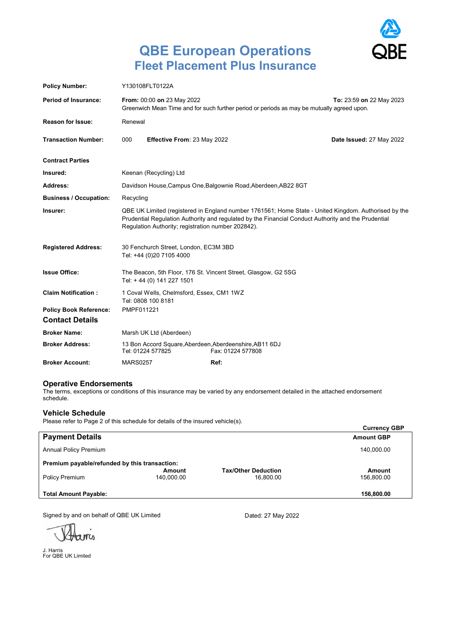

# **QBE European Operations Fleet Placement Plus Insurance**

| <b>Policy Number:</b>                                   | Y130108FLT0122A                                                                                                                                                                                                                                                   |                             |      |                          |  |  |
|---------------------------------------------------------|-------------------------------------------------------------------------------------------------------------------------------------------------------------------------------------------------------------------------------------------------------------------|-----------------------------|------|--------------------------|--|--|
| <b>Period of Insurance:</b>                             | From: 00:00 on 23 May 2022<br>To: 23:59 on 22 May 2023<br>Greenwich Mean Time and for such further period or periods as may be mutually agreed upon.                                                                                                              |                             |      |                          |  |  |
| <b>Reason for Issue:</b>                                | Renewal                                                                                                                                                                                                                                                           |                             |      |                          |  |  |
| <b>Transaction Number:</b>                              | 000                                                                                                                                                                                                                                                               | Effective From: 23 May 2022 |      | Date Issued: 27 May 2022 |  |  |
| <b>Contract Parties</b>                                 |                                                                                                                                                                                                                                                                   |                             |      |                          |  |  |
| Insured:                                                | Keenan (Recycling) Ltd                                                                                                                                                                                                                                            |                             |      |                          |  |  |
| Address:                                                | Davidson House, Campus One, Balgownie Road, Aberdeen, AB22 8GT                                                                                                                                                                                                    |                             |      |                          |  |  |
| <b>Business / Occupation:</b>                           | Recycling                                                                                                                                                                                                                                                         |                             |      |                          |  |  |
| Insurer:                                                | QBE UK Limited (registered in England number 1761561; Home State - United Kingdom. Authorised by the<br>Prudential Regulation Authority and regulated by the Financial Conduct Authority and the Prudential<br>Regulation Authority; registration number 202842). |                             |      |                          |  |  |
| <b>Registered Address:</b>                              | 30 Fenchurch Street, London, EC3M 3BD<br>Tel: +44 (0)20 7105 4000                                                                                                                                                                                                 |                             |      |                          |  |  |
| <b>Issue Office:</b>                                    | The Beacon, 5th Floor, 176 St. Vincent Street, Glasgow, G2 5SG<br>Tel: +44 (0) 141 227 1501                                                                                                                                                                       |                             |      |                          |  |  |
| <b>Claim Notification:</b>                              | 1 Coval Wells, Chelmsford, Essex, CM1 1WZ<br>Tel: 0808 100 8181                                                                                                                                                                                                   |                             |      |                          |  |  |
| <b>Policy Book Reference:</b><br><b>Contact Details</b> | PMPF011221                                                                                                                                                                                                                                                        |                             |      |                          |  |  |
| <b>Broker Name:</b>                                     |                                                                                                                                                                                                                                                                   | Marsh UK Ltd (Aberdeen)     |      |                          |  |  |
| <b>Broker Address:</b>                                  | 13 Bon Accord Square, Aberdeen, Aberdeenshire, AB11 6DJ<br>Tel: 01224 577825<br>Fax: 01224 577808                                                                                                                                                                 |                             |      |                          |  |  |
| <b>Broker Account:</b>                                  | <b>MARS0257</b>                                                                                                                                                                                                                                                   |                             | Ref: |                          |  |  |

#### **Operative Endorsements**

The terms, exceptions or conditions of this insurance may be varied by any endorsement detailed in the attached endorsement schedule.

#### **Vehicle Schedule**

Please refer to Page 2 of this schedule for details of the insured vehicle(s).

|                                               |                      |                                         | <b>Currency GBP</b> |
|-----------------------------------------------|----------------------|-----------------------------------------|---------------------|
| <b>Payment Details</b>                        |                      |                                         | <b>Amount GBP</b>   |
| <b>Annual Policy Premium</b>                  |                      |                                         | 140,000.00          |
| Premium payable/refunded by this transaction: | Amount               |                                         |                     |
| Policy Premium                                | Amount<br>140.000.00 | <b>Tax/Other Deduction</b><br>16.800.00 | 156,800.00          |
| <b>Total Amount Payable:</b>                  |                      |                                         | 156,800.00          |

Signed by and on behalf of QBE UK Limited

 $MCD$ 

J. Harris For QBE UK Limited

Dated: 27 May 2022